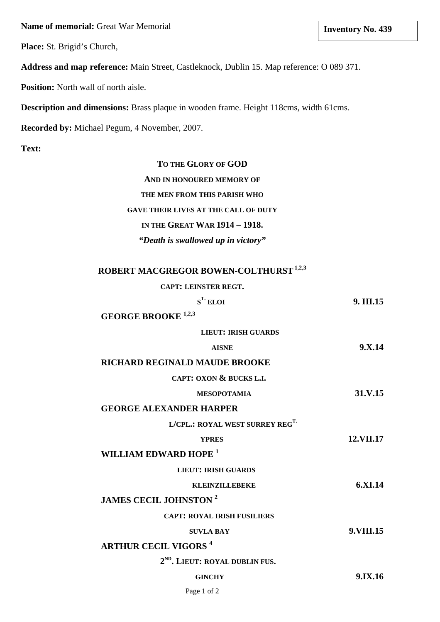**Name of memorial:** Great War Memorial

**Place:** St. Brigid's Church,

**Address and map reference:** Main Street, Castleknock, Dublin 15. Map reference: O 089 371.

**Position:** North wall of north aisle.

**Description and dimensions:** Brass plaque in wooden frame. Height 118cms, width 61cms.

**Recorded by:** Michael Pegum, 4 November, 2007.

**Text:**

## **TO THE GLORY OF GOD**

**AND IN HONOURED MEMORY OF**

**THE MEN FROM THIS PARISH WHO**

**GAVE THEIR LIVES AT THE CALL OF DUTY**

## **IN THE GREAT WAR 1914 – 1918.**

*"Death is swallowed up in victory"* 

# **ROBERT MACGREGOR BOWEN-COLTHURST1,2,3**

### **CAPT: LEINSTER REGT.**

| $S^T$ <b>ELOI</b>                           | 9. III.15 |
|---------------------------------------------|-----------|
| <b>GEORGE BROOKE</b> <sup>1,2,3</sup>       |           |
| <b>LIEUT: IRISH GUARDS</b>                  |           |
| <b>AISNE</b>                                | 9. X.14   |
| RICHARD REGINALD MAUDE BROOKE               |           |
| CAPT: OXON & BUCKS L.I.                     |           |
| <b>MESOPOTAMIA</b>                          | 31.V.15   |
| <b>GEORGE ALEXANDER HARPER</b>              |           |
| L/CPL.: ROYAL WEST SURREY REG <sup>T.</sup> |           |
| <b>YPRES</b>                                | 12.VII.17 |
| WILLIAM EDWARD HOPE <sup>1</sup>            |           |
| <b>LIEUT: IRISH GUARDS</b>                  |           |
| <b>KLEINZILLEBEKE</b>                       | 6.XI.14   |
| <b>JAMES CECIL JOHNSTON<sup>2</sup></b>     |           |
| <b>CAPT: ROYAL IRISH FUSILIERS</b>          |           |
| <b>SUVLA BAY</b>                            | 9.VIII.15 |
| <b>ARTHUR CECIL VIGORS<sup>4</sup></b>      |           |
| 2 <sup>ND</sup> . LIEUT: ROYAL DUBLIN FUS.  |           |
| <b>GINCHY</b>                               | 9.IX.16   |